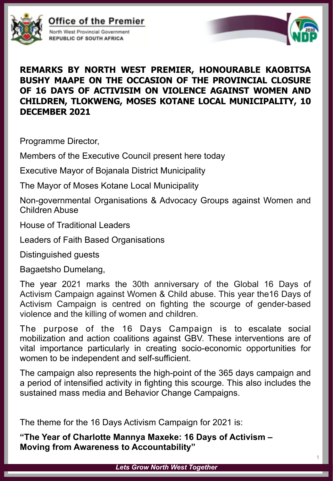

## Office of the Premier





## **REMARKS BY NORTH WEST PREMIER, HONOURABLE KAOBITSA BUSHY MAAPE ON THE OCCASION OF THE PROVINCIAL CLOSURE OF 16 DAYS OF ACTIVISIM ON VIOLENCE AGAINST WOMEN AND CHILDREN, TLOKWENG, MOSES KOTANE LOCAL MUNICIPALITY, 10 DECEMBER 2021**

Programme Director,

Members of the Executive Council present here today

Executive Mayor of Bojanala District Municipality

The Mayor of Moses Kotane Local Municipality

Non-governmental Organisations & Advocacy Groups against Women and Children Abuse

House of Traditional Leaders

Leaders of Faith Based Organisations

Distinguished guests

Bagaetsho Dumelang,

The year 2021 marks the 30th anniversary of the Global 16 Days of Activism Campaign against Women & Child abuse. This year the16 Days of Activism Campaign is centred on fighting the scourge of gender-based violence and the killing of women and children.

The purpose of the 16 Days Campaign is to escalate social mobilization and action coalitions against GBV. These interventions are of vital importance particularly in creating socio-economic opportunities for women to be independent and self-sufficient.

The campaign also represents the high-point of the 365 days campaign and a period of intensified activity in fighting this scourge. This also includes the sustained mass media and Behavior Change Campaigns.

The theme for the 16 Days Activism Campaign for 2021 is:

**"The Year of Charlotte Mannya Maxeke: 16 Days of Activism – Moving from Awareness to Accountability"**

*Lets Grow North West Together*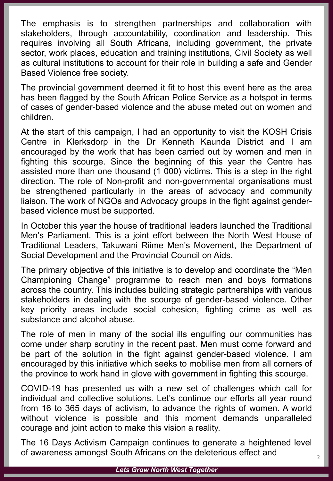The emphasis is to strengthen partnerships and collaboration with stakeholders, through accountability, coordination and leadership. This requires involving all South Africans, including government, the private sector, work places, education and training institutions, Civil Society as well as cultural institutions to account for their role in building a safe and Gender Based Violence free society.

The provincial government deemed it fit to host this event here as the area has been flagged by the South African Police Service as a hotspot in terms of cases of gender-based violence and the abuse meted out on women and children.

At the start of this campaign, I had an opportunity to visit the KOSH Crisis Centre in Klerksdorp in the Dr Kenneth Kaunda District and I am encouraged by the work that has been carried out by women and men in fighting this scourge. Since the beginning of this year the Centre has assisted more than one thousand (1 000) victims. This is a step in the right direction. The role of Non-profit and non-governmental organisations must be strengthened particularly in the areas of advocacy and community liaison. The work of NGOs and Advocacy groups in the fight against genderbased violence must be supported.

In October this year the house of traditional leaders launched the Traditional Men's Parliament. This is a joint effort between the North West House of Traditional Leaders, Takuwani Riime Men's Movement, the Department of Social Development and the Provincial Council on Aids.

The primary objective of this initiative is to develop and coordinate the "Men Championing Change" programme to reach men and boys formations across the country. This includes building strategic partnerships with various stakeholders in dealing with the scourge of gender-based violence. Other key priority areas include social cohesion, fighting crime as well as substance and alcohol abuse.

The role of men in many of the social ills engulfing our communities has come under sharp scrutiny in the recent past. Men must come forward and be part of the solution in the fight against gender-based violence. I am encouraged by this initiative which seeks to mobilise men from all corners of the province to work hand in glove with government in fighting this scourge.

COVID-19 has presented us with a new set of challenges which call for individual and collective solutions. Let's continue our efforts all year round from 16 to 365 days of activism, to advance the rights of women. A world without violence is possible and this moment demands unparalleled courage and joint action to make this vision a reality.

The 16 Days Activism Campaign continues to generate a heightened level of awareness amongst South Africans on the deleterious effect and